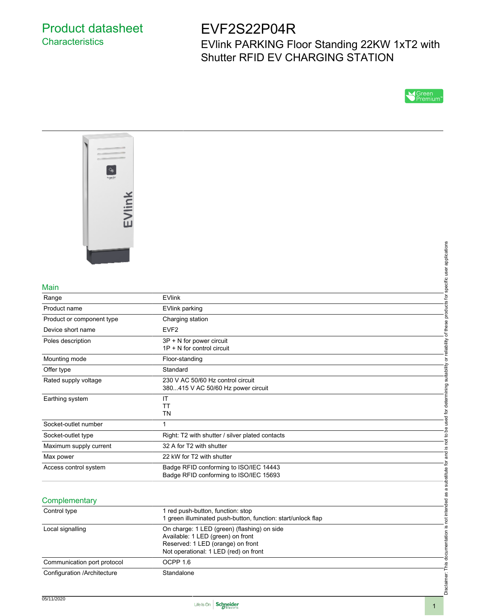# Product datasheet **Characteristics**

# EVF2S22P04R

EVlink PARKING Floor Standing 22KW 1xT2 with Shutter RFID EV CHARGING STATION





#### Main

|                             |                                                                                                                                                                | applications                      |
|-----------------------------|----------------------------------------------------------------------------------------------------------------------------------------------------------------|-----------------------------------|
|                             |                                                                                                                                                                |                                   |
|                             |                                                                                                                                                                | specific user                     |
| Main                        |                                                                                                                                                                |                                   |
| Range                       | <b>EVlink</b>                                                                                                                                                  | ʻp                                |
| Product name                | <b>EVlink parking</b>                                                                                                                                          | products                          |
| Product or component type   | Charging station                                                                                                                                               |                                   |
| Device short name           | EVF <sub>2</sub>                                                                                                                                               | of these                          |
| Poles description           | 3P + N for power circuit<br>$1P + N$ for control circuit                                                                                                       | eliability                        |
| Mounting mode               | Floor-standing                                                                                                                                                 | ōτ                                |
| Offer type                  | Standard                                                                                                                                                       | suitability                       |
| Rated supply voltage        | 230 V AC 50/60 Hz control circuit<br>380415 V AC 50/60 Hz power circuit                                                                                        |                                   |
| Earthing system             | IT<br>TT<br><b>TN</b>                                                                                                                                          | used for determining              |
| Socket-outlet number        | $\mathbf{1}$                                                                                                                                                   |                                   |
| Socket-outlet type          | Right: T2 with shutter / silver plated contacts                                                                                                                | to be                             |
| Maximum supply current      | 32 A for T2 with shutter                                                                                                                                       | $\overline{a}$<br><u>.ഗ</u>       |
| Max power                   | 22 kW for T2 with shutter                                                                                                                                      | and<br>a                          |
| Access control system       | Badge RFID conforming to ISO/IEC 14443<br>Badge RFID conforming to ISO/IEC 15693                                                                               | ġ<br>substitute                   |
| Complementary               |                                                                                                                                                                | not intended as a                 |
| Control type                | 1 red push-button, function: stop<br>1 green illuminated push-button, function: start/unlock flap                                                              |                                   |
| Local signalling            | On charge: 1 LED (green) (flashing) on side<br>Available: 1 LED (green) on front<br>Reserved: 1 LED (orange) on front<br>Not operational: 1 LED (red) on front | Disclaimer: This documentation is |
| Communication port protocol | OCPP <sub>1.6</sub>                                                                                                                                            |                                   |
| Configuration /Architecture | Standalone                                                                                                                                                     |                                   |

# **Complementary**

| Control type                | 1 red push-button, function: stop<br>1 green illuminated push-button, function: start/unlock flap                                                              |
|-----------------------------|----------------------------------------------------------------------------------------------------------------------------------------------------------------|
| Local signalling            | On charge: 1 LED (green) (flashing) on side<br>Available: 1 LED (green) on front<br>Reserved: 1 LED (orange) on front<br>Not operational: 1 LED (red) on front |
| Communication port protocol | OCPP 1.6                                                                                                                                                       |
| Configuration /Architecture | Standalone                                                                                                                                                     |

Disclaimer: This documentation is not intended as a substitute for and is not to be used for determining suitability or reliability of these products for specific user applications